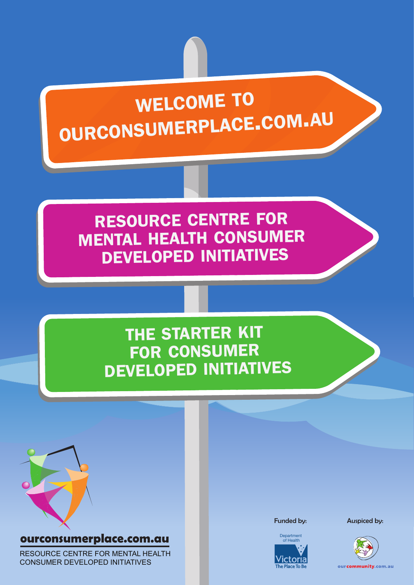# WELCOME TO OURCONSUMERPLACE.COM.AU

RESOURCE CENTRE FOR MENTAL HEALTH CONSUMER DEVELOPED INITIATIVES

### THE STARTER KIT FOR CONSUMER DEVELOPED INITIATIVES



### ourconsumerplace.com.au

RESOURCE CENTRE FOR MENTAL HEALTH CONSUMER DEVELOPED INITIATIVES



Funded by: **Auspiced by:** 



ourcommunity.com.au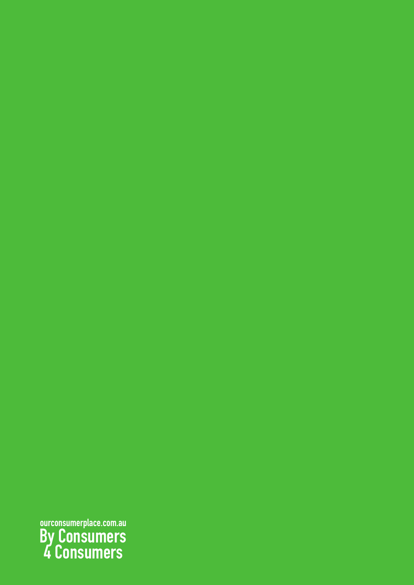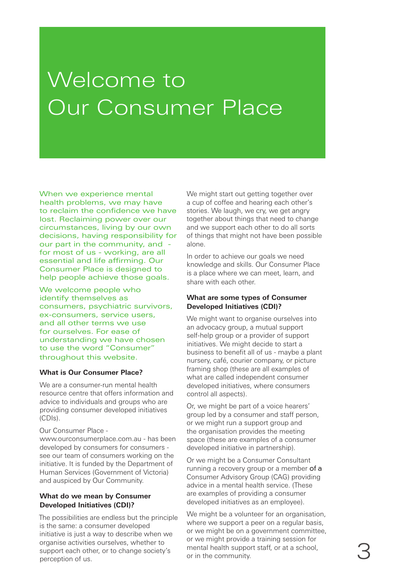# Welcome to Our Consumer Place

When we experience mental health problems, we may have to reclaim the confidence we have lost. Reclaiming power over our circumstances, living by our own decisions, having responsibility for our part in the community, and for most of us - working, are all essential and life affirming. Our Consumer Place is designed to help people achieve those goals.

We welcome people who identify themselves as consumers, psychiatric survivors, ex-consumers, service users, and all other terms we use for ourselves. For ease of understanding we have chosen to use the word "Consumer" throughout this website.

#### **What is Our Consumer Place?**

We are a consumer-run mental health resource centre that offers information and advice to individuals and groups who are providing consumer developed initiatives (CDIs).

Our Consumer Place -

www.ourconsumerplace.com.au - has been developed by consumers for consumers see our team of consumers working on the initiative. It is funded by the Department of Human Services (Government of Victoria) and auspiced by Our Community.

### **What do we mean by Consumer Developed Initiatives (CDI)?**

The possibilities are endless but the principle is the same: a consumer developed initiative is just a way to describe when we organise activities ourselves, whether to support each other, or to change society's perception of us.

We might start out getting together over a cup of coffee and hearing each other's stories. We laugh, we cry, we get angry together about things that need to change and we support each other to do all sorts of things that might not have been possible alone.

In order to achieve our goals we need knowledge and skills. Our Consumer Place is a place where we can meet, learn, and share with each other.

### **What are some types of Consumer Developed Initiatives (CDI)?**

We might want to organise ourselves into an advocacy group, a mutual support self-help group or a provider of support initiatives. We might decide to start a business to benefit all of us - maybe a plant nursery, café, courier company, or picture framing shop (these are all examples of what are called independent consumer developed initiatives, where consumers control all aspects).

Or, we might be part of a voice hearers' group led by a consumer and staff person, or we might run a support group and the organisation provides the meeting space (these are examples of a consumer developed initiative in partnership).

Or we might be a Consumer Consultant running a recovery group or a member of a Consumer Advisory Group (CAG) providing advice in a mental health service. (These are examples of providing a consumer developed initiatives as an employee).

We might be a volunteer for an organisation, where we support a peer on a regular basis. or we might be on a government committee, or we might provide a training session for mental health support staff, or at a school, or in the community.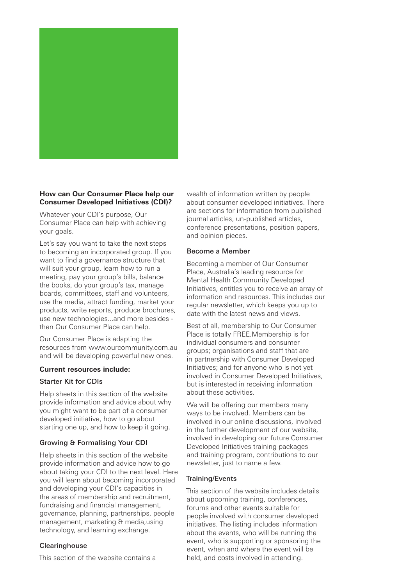

### **How can Our Consumer Place help our Consumer Developed Initiatives (CDI)?**

Whatever your CDI's purpose, Our Consumer Place can help with achieving your goals.

Let's say you want to take the next steps to becoming an incorporated group. If you want to find a governance structure that will suit your group, learn how to run a meeting, pay your group's bills, balance the books, do your group's tax, manage boards, committees, staff and volunteers, use the media, attract funding, market your products, write reports, produce brochures, use new technologies...and more besides then Our Consumer Place can help.

Our Consumer Place is adapting the resources from www.ourcommunity.com.au and will be developing powerful new ones.

#### **Current resources include:**

#### Starter Kit for CDIs

Help sheets in this section of the website provide information and advice about why you might want to be part of a consumer developed initiative, how to go about starting one up, and how to keep it going.

### Growing & Formalising Your CDI

Help sheets in this section of the website provide information and advice how to go about taking your CDI to the next level. Here you will learn about becoming incorporated and developing your CDI's capacities in the areas of membership and recruitment, fundraising and financial management, governance, planning, partnerships, people management, marketing & media,using technology, and learning exchange.

#### **Clearinghouse**

This section of the website contains a

wealth of information written by people about consumer developed initiatives. There are sections for information from published journal articles, un-published articles, conference presentations, position papers, and opinion pieces.

#### Become a Member

Becoming a member of Our Consumer Place, Australia's leading resource for Mental Health Community Developed Initiatives, entitles you to receive an array of information and resources. This includes our regular newsletter, which keeps you up to date with the latest news and views.

Best of all, membership to Our Consumer Place is totally FREE.Membership is for individual consumers and consumer groups; organisations and staff that are in partnership with Consumer Developed Initiatives; and for anyone who is not yet involved in Consumer Developed Initiatives, but is interested in receiving information about these activities.

We will be offering our members many ways to be involved. Members can be involved in our online discussions, involved in the further development of our website, involved in developing our future Consumer Developed Initiatives training packages and training program, contributions to our newsletter, just to name a few.

#### Training/Events

This section of the website includes details about upcoming training, conferences, forums and other events suitable for people involved with consumer developed initiatives. The listing includes information about the events, who will be running the event, who is supporting or sponsoring the event, when and where the event will be held, and costs involved in attending.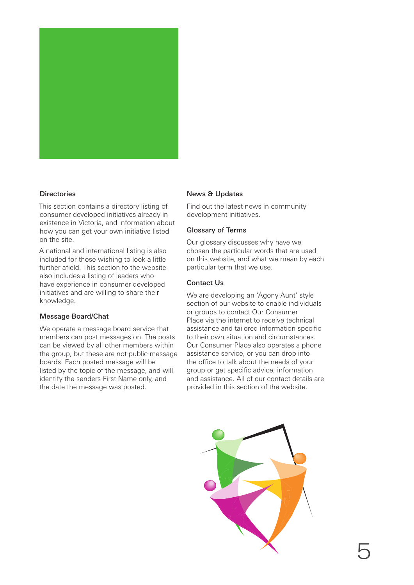

### **Directories**

This section contains a directory listing of consumer developed initiatives already in existence in Victoria, and information about how you can get your own initiative listed on the site.

A national and international listing is also included for those wishing to look a little further afield. This section fo the website also includes a listing of leaders who have experience in consumer developed initiatives and are willing to share their knowledge.

### Message Board/Chat

We operate a message board service that members can post messages on. The posts can be viewed by all other members within the group, but these are not public message boards. Each posted message will be listed by the topic of the message, and will identify the senders First Name only, and the date the message was posted.

### News & Updates

Find out the latest news in community development initiatives.

### Glossary of Terms

Our glossary discusses why have we chosen the particular words that are used on this website, and what we mean by each particular term that we use.

#### Contact Us

We are developing an 'Agony Aunt' style section of our website to enable individuals or groups to contact Our Consumer Place via the internet to receive technical assistance and tailored information specific to their own situation and circumstances. Our Consumer Place also operates a phone assistance service, or you can drop into the office to talk about the needs of your group or get specific advice, information and assistance. All of our contact details are provided in this section of the website.

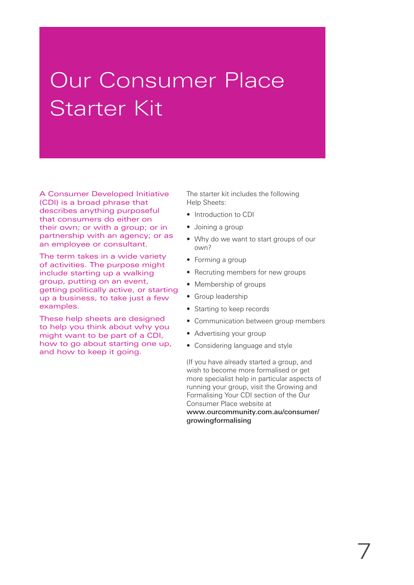## Our Consumer Place Starter Kit

A Consumer Developed Initiative (CDI) is a broad phrase that describes anything purposeful that consumers do either on their own; or with a group; or in partnership with an agency; or as an employee or consultant.

The term takes in a wide variety of activities. The purpose might include starting up a walking group, putting on an event, getting politically active, or starting up a business, to take just a few examples.

These help sheets are designed to help you think about why you might want to be part of a CDI, how to go about starting one up, and how to keep it going.

The starter kit includes the following Help Sheets:

- Introduction to CDI
- Joining a group
- Why do we want to start groups of our own?
- Forming a group
- Recruting members for new groups
- Membership of groups
- Group leadership
- Starting to keep records
- Communication between group members
- Advertising your group
- Considering language and style

(If you have already started a group, and wish to become more formalised or get more specialist help in particular aspects of running your group, visit the Growing and Formalising Your CDI section of the Our Consumer Place website at www.ourcommunity.com.au/consumer/ growingformalising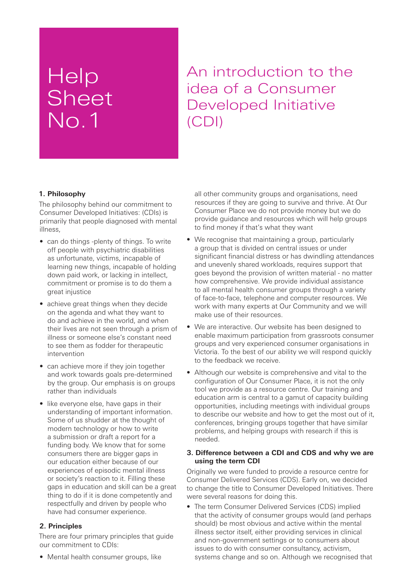## Help **Sheet** No.1

An introduction to the idea of a Consumer Developed Initiative (CDI)

### **1. Philosophy**

The philosophy behind our commitment to Consumer Developed Initiatives: (CDIs) is primarily that people diagnosed with mental illness,

- can do things -plenty of things. To write off people with psychiatric disabilities as unfortunate, victims, incapable of learning new things, incapable of holding down paid work, or lacking in intellect, commitment or promise is to do them a great injustice
- achieve great things when they decide on the agenda and what they want to do and achieve in the world, and when their lives are not seen through a prism of illness or someone else's constant need to see them as fodder for therapeutic intervention
- can achieve more if they join together and work towards goals pre-determined by the group. Our emphasis is on groups rather than individuals
- like everyone else, have gaps in their understanding of important information. Some of us shudder at the thought of modern technology or how to write a submission or draft a report for a funding body. We know that for some consumers there are bigger gaps in our education either because of our experiences of episodic mental illness or society's reaction to it. Filling these gaps in education and skill can be a great thing to do if it is done competently and respectfully and driven by people who have had consumer experience.

### **2. Principles**

There are four primary principles that guide our commitment to CDIs:

• Mental health consumer groups, like

all other community groups and organisations, need resources if they are going to survive and thrive. At Our Consumer Place we do not provide money but we do provide guidance and resources which will help groups to find money if that's what they want

- We recognise that maintaining a group, particularly a group that is divided on central issues or under significant financial distress or has dwindling attendances and unevenly shared workloads, requires support that goes beyond the provision of written material - no matter how comprehensive. We provide individual assistance to all mental health consumer groups through a variety of face-to-face, telephone and computer resources. We work with many experts at Our Community and we will make use of their resources.
- We are interactive. Our website has been designed to enable maximum participation from grassroots consumer groups and very experienced consumer organisations in Victoria. To the best of our ability we will respond quickly to the feedback we receive.
- Although our website is comprehensive and vital to the configuration of Our Consumer Place, it is not the only tool we provide as a resource centre. Our training and education arm is central to a gamut of capacity building opportunities, including meetings with individual groups to describe our website and how to get the most out of it, conferences, bringing groups together that have similar problems, and helping groups with research if this is needed.

### **3. Difference between a CDI and CDS and why we are using the term CDI**

Originally we were funded to provide a resource centre for Consumer Delivered Services (CDS). Early on, we decided to change the title to Consumer Developed Initiatives. There were several reasons for doing this.

The term Consumer Delivered Services (CDS) implied that the activity of consumer groups would (and perhaps should) be most obvious and active within the mental illness sector itself, either providing services in clinical and non-government settings or to consumers about issues to do with consumer consultancy, activism, systems change and so on. Although we recognised that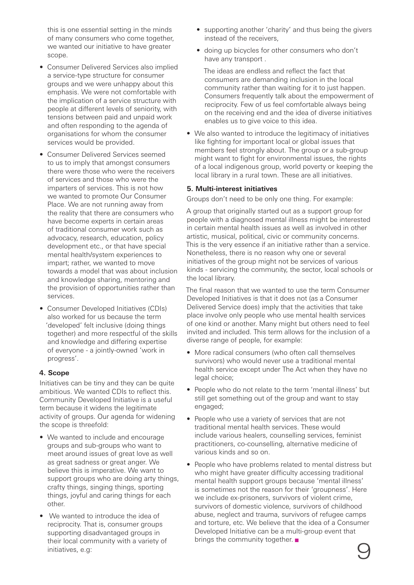this is one essential setting in the minds of many consumers who come together, we wanted our initiative to have greater scope.

- Consumer Delivered Services also implied a service-type structure for consumer groups and we were unhappy about this emphasis. We were not comfortable with the implication of a service structure with people at different levels of seniority, with tensions between paid and unpaid work and often responding to the agenda of organisations for whom the consumer services would be provided.
- Consumer Delivered Services seemed to us to imply that amongst consumers there were those who were the receivers of services and those who were the imparters of services. This is not how we wanted to promote Our Consumer Place. We are not running away from the reality that there are consumers who have become experts in certain areas of traditional consumer work such as advocacy, research, education, policy development etc., or that have special mental health/system experiences to impart; rather, we wanted to move towards a model that was about inclusion and knowledge sharing, mentoring and the provision of opportunities rather than services.
- Consumer Developed Initiatives (CDIs) also worked for us because the term 'developed' felt inclusive (doing things together) and more respectful of the skills and knowledge and differing expertise of everyone - a jointly-owned 'work in progress'.

### **4. Scope**

Initiatives can be tiny and they can be quite ambitious. We wanted CDIs to reflect this. Community Developed Initiative is a useful term because it widens the legitimate activity of groups. Our agenda for widening the scope is threefold:

- We wanted to include and encourage groups and sub-groups who want to meet around issues of great love as well as great sadness or great anger. We believe this is imperative. We want to support groups who are doing arty things, crafty things, singing things, sporting things, joyful and caring things for each other.
- We wanted to introduce the idea of reciprocity. That is, consumer groups supporting disadvantaged groups in their local community with a variety of initiatives, e.g:
- supporting another 'charity' and thus being the givers instead of the receivers,
- doing up bicycles for other consumers who don't have any transport .

The ideas are endless and reflect the fact that consumers are demanding inclusion in the local community rather than waiting for it to just happen. Consumers frequently talk about the empowerment of reciprocity. Few of us feel comfortable always being on the receiving end and the idea of diverse initiatives enables us to give voice to this idea.

• We also wanted to introduce the legitimacy of initiatives like fighting for important local or global issues that members feel strongly about. The group or a sub-group might want to fight for environmental issues, the rights of a local indigenous group, world poverty or keeping the local library in a rural town. These are all initiatives.

### **5. Multi-interest initiatives**

Groups don't need to be only one thing. For example:

A group that originally started out as a support group for people with a diagnosed mental illness might be interested in certain mental health issues as well as involved in other artistic, musical, political, civic or community concerns. This is the very essence if an initiative rather than a service. Nonetheless, there is no reason why one or several initiatives of the group might not be services of various kinds - servicing the community, the sector, local schools or the local library.

The final reason that we wanted to use the term Consumer Developed Initiatives is that it does not (as a Consumer Delivered Service does) imply that the activities that take place involve only people who use mental health services of one kind or another. Many might but others need to feel invited and included. This term allows for the inclusion of a diverse range of people, for example:

- More radical consumers (who often call themselves survivors) who would never use a traditional mental health service except under The Act when they have no legal choice;
- People who do not relate to the term 'mental illness' but still get something out of the group and want to stay engaged;
- People who use a variety of services that are not traditional mental health services. These would include various healers, counselling services, feminist practitioners, co-counselling, alternative medicine of various kinds and so on.
- People who have problems related to mental distress but who might have greater difficulty accessing traditional mental health support groups because 'mental illness' is sometimes not the reason for their 'groupness'. Here we include ex-prisoners, survivors of violent crime, survivors of domestic violence, survivors of childhood abuse, neglect and trauma, survivors of refugee camps and torture, etc. We believe that the idea of a Consumer Developed Initiative can be a multi-group event that brings the community together.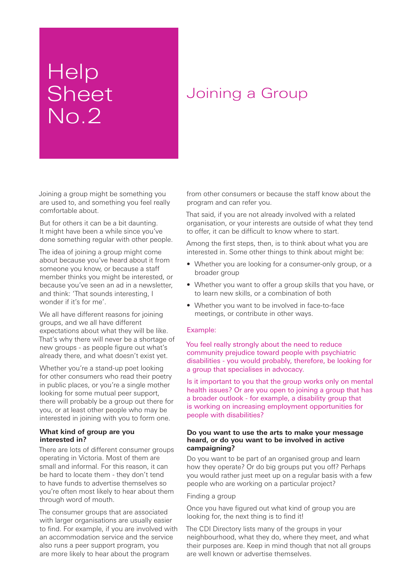## **Help** Sheet No.2

### Joining a Group

Joining a group might be something you are used to, and something you feel really comfortable about.

But for others it can be a bit daunting. It might have been a while since you've done something regular with other people.

The idea of joining a group might come about because you've heard about it from someone you know, or because a staff member thinks you might be interested, or because you've seen an ad in a newsletter, and think: 'That sounds interesting, I wonder if it's for me'.

We all have different reasons for joining groups, and we all have different expectations about what they will be like. That's why there will never be a shortage of new groups - as people figure out what's already there, and what doesn't exist yet.

Whether you're a stand-up poet looking for other consumers who read their poetry in public places, or you're a single mother looking for some mutual peer support, there will probably be a group out there for you, or at least other people who may be interested in joining with you to form one.

### **What kind of group are you interested in?**

There are lots of different consumer groups operating in Victoria. Most of them are small and informal. For this reason, it can be hard to locate them - they don't tend to have funds to advertise themselves so you're often most likely to hear about them through word of mouth.

The consumer groups that are associated with larger organisations are usually easier to find. For example, if you are involved with an accommodation service and the service also runs a peer support program, you are more likely to hear about the program

from other consumers or because the staff know about the program and can refer you.

That said, if you are not already involved with a related organisation, or your interests are outside of what they tend to offer, it can be difficult to know where to start.

Among the first steps, then, is to think about what you are interested in. Some other things to think about might be:

- Whether you are looking for a consumer-only group, or a broader group
- Whether you want to offer a group skills that you have, or to learn new skills, or a combination of both
- Whether you want to be involved in face-to-face meetings, or contribute in other ways.

### Example:

You feel really strongly about the need to reduce community prejudice toward people with psychiatric disabilities - you would probably, therefore, be looking for a group that specialises in advocacy.

Is it important to you that the group works only on mental health issues? Or are you open to joining a group that has a broader outlook - for example, a disability group that is working on increasing employment opportunities for people with disabilities?

#### **Do you want to use the arts to make your message heard, or do you want to be involved in active campaigning?**

Do you want to be part of an organised group and learn how they operate? Or do big groups put you off? Perhaps you would rather just meet up on a regular basis with a few people who are working on a particular project?

#### Finding a group

Once you have figured out what kind of group you are looking for, the next thing is to find it!

The CDI Directory lists many of the groups in your neighbourhood, what they do, where they meet, and what their purposes are. Keep in mind though that not all groups are well known or advertise themselves.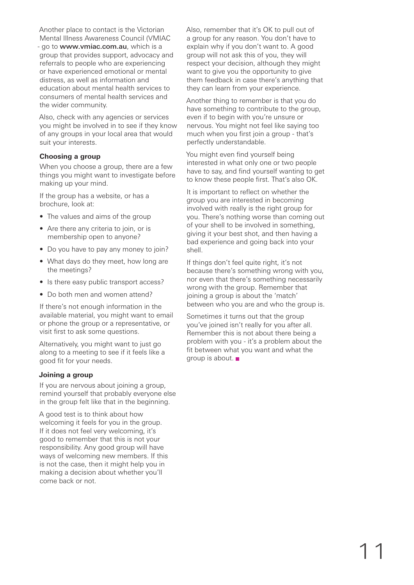Another place to contact is the Victorian Mental Illness Awareness Council (VMIAC

- go to www.vmiac.com.au, which is a group that provides support, advocacy and referrals to people who are experiencing or have experienced emotional or mental distress, as well as information and education about mental health services to consumers of mental health services and the wider community.

Also, check with any agencies or services you might be involved in to see if they know of any groups in your local area that would suit your interests.

### **Choosing a group**

When you choose a group, there are a few things you might want to investigate before making up your mind.

If the group has a website, or has a brochure, look at:

- The values and aims of the group
- Are there any criteria to join, or is membership open to anyone?
- Do you have to pay any money to join?
- What days do they meet, how long are the meetings?
- Is there easy public transport access?
- Do both men and women attend?

If there's not enough information in the available material, you might want to email or phone the group or a representative, or visit first to ask some questions.

Alternatively, you might want to just go along to a meeting to see if it feels like a good fit for your needs.

### **Joining a group**

If you are nervous about joining a group, remind yourself that probably everyone else in the group felt like that in the beginning.

A good test is to think about how welcoming it feels for you in the group. If it does not feel very welcoming, it's good to remember that this is not your responsibility. Any good group will have ways of welcoming new members. If this is not the case, then it might help you in making a decision about whether you'll come back or not.

Also, remember that it's OK to pull out of a group for any reason. You don't have to explain why if you don't want to. A good group will not ask this of you, they will respect your decision, although they might want to give you the opportunity to give them feedback in case there's anything that they can learn from your experience.

Another thing to remember is that you do have something to contribute to the group, even if to begin with you're unsure or nervous. You might not feel like saying too much when you first join a group - that's perfectly understandable.

You might even find yourself being interested in what only one or two people have to say, and find yourself wanting to get to know these people first. That's also OK.

It is important to reflect on whether the group you are interested in becoming involved with really is the right group for you. There's nothing worse than coming out of your shell to be involved in something, giving it your best shot, and then having a bad experience and going back into your shell.

If things don't feel quite right, it's not because there's something wrong with you, nor even that there's something necessarily wrong with the group. Remember that joining a group is about the 'match' between who you are and who the group is.

Sometimes it turns out that the group you've joined isn't really for you after all. Remember this is not about there being a problem with you - it's a problem about the fit between what you want and what the group is about.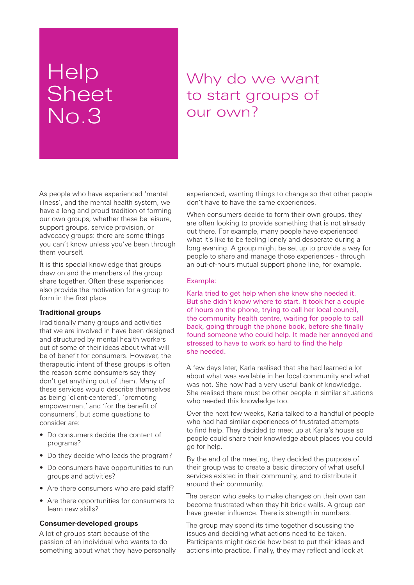### **Help Sheet** No.3

### Why do we want to start groups of our own?

As people who have experienced 'mental illness', and the mental health system, we have a long and proud tradition of forming our own groups, whether these be leisure, support groups, service provision, or advocacy groups: there are some things you can't know unless you've been through them yourself.

It is this special knowledge that groups draw on and the members of the group share together. Often these experiences also provide the motivation for a group to form in the first place.

### **Traditional groups**

Traditionally many groups and activities that we are involved in have been designed and structured by mental health workers out of some of their ideas about what will be of benefit for consumers. However, the therapeutic intent of these groups is often the reason some consumers say they don't get anything out of them. Many of these services would describe themselves as being 'client-centered', 'promoting empowerment' and 'for the benefit of consumers', but some questions to consider are:

- Do consumers decide the content of programs?
- Do they decide who leads the program?
- Do consumers have opportunities to run groups and activities?
- Are there consumers who are paid staff?
- Are there opportunities for consumers to learn new skills?

#### **Consumer-developed groups**

A lot of groups start because of the passion of an individual who wants to do something about what they have personally experienced, wanting things to change so that other people don't have to have the same experiences.

When consumers decide to form their own groups, they are often looking to provide something that is not already out there. For example, many people have experienced what it's like to be feeling lonely and desperate during a long evening. A group might be set up to provide a way for people to share and manage those experiences - through an out-of-hours mutual support phone line, for example.

#### Example:

Karla tried to get help when she knew she needed it. But she didn't know where to start. It took her a couple of hours on the phone, trying to call her local council, the community health centre, waiting for people to call back, going through the phone book, before she finally found someone who could help. It made her annoyed and stressed to have to work so hard to find the help she needed.

A few days later, Karla realised that she had learned a lot about what was available in her local community and what was not. She now had a very useful bank of knowledge. She realised there must be other people in similar situations who needed this knowledge too.

Over the next few weeks, Karla talked to a handful of people who had had similar experiences of frustrated attempts to find help. They decided to meet up at Karla's house so people could share their knowledge about places you could go for help.

By the end of the meeting, they decided the purpose of their group was to create a basic directory of what useful services existed in their community, and to distribute it around their community.

The person who seeks to make changes on their own can become frustrated when they hit brick walls. A group can have greater influence. There is strength in numbers.

The group may spend its time together discussing the issues and deciding what actions need to be taken. Participants might decide how best to put their ideas and actions into practice. Finally, they may reflect and look at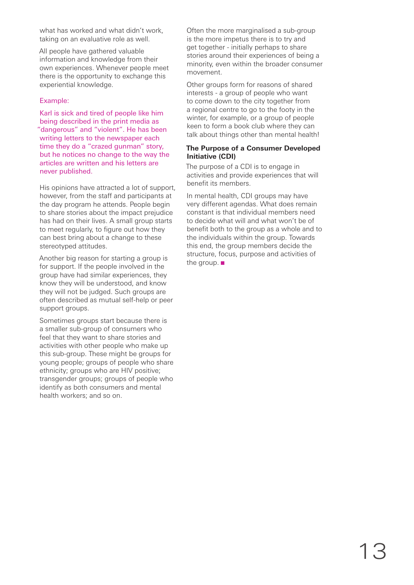what has worked and what didn't work, taking on an evaluative role as well.

All people have gathered valuable information and knowledge from their own experiences. Whenever people meet there is the opportunity to exchange this experiential knowledge.

### Example:

Karl is sick and tired of people like him being described in the print media as "dangerous" and "violent". He has been writing letters to the newspaper each time they do a "crazed gunman" story, but he notices no change to the way the articles are written and his letters are never published.

His opinions have attracted a lot of support, however, from the staff and participants at the day program he attends. People begin to share stories about the impact prejudice has had on their lives. A small group starts to meet regularly, to figure out how they can best bring about a change to these stereotyped attitudes.

Another big reason for starting a group is for support. If the people involved in the group have had similar experiences, they know they will be understood, and know they will not be judged. Such groups are often described as mutual self-help or peer support groups.

Sometimes groups start because there is a smaller sub-group of consumers who feel that they want to share stories and activities with other people who make up this sub-group. These might be groups for young people; groups of people who share ethnicity; groups who are HIV positive; transgender groups; groups of people who identify as both consumers and mental health workers; and so on.

Often the more marginalised a sub-group is the more impetus there is to try and get together - initially perhaps to share stories around their experiences of being a minority, even within the broader consumer movement.

Other groups form for reasons of shared interests - a group of people who want to come down to the city together from a regional centre to go to the footy in the winter, for example, or a group of people keen to form a book club where they can talk about things other than mental health!

### **The Purpose of a Consumer Developed Initiative (CDI)**

The purpose of a CDI is to engage in activities and provide experiences that will benefit its members.

In mental health, CDI groups may have very different agendas. What does remain constant is that individual members need to decide what will and what won't be of benefit both to the group as a whole and to the individuals within the group. Towards this end, the group members decide the structure, focus, purpose and activities of the group.  $\blacksquare$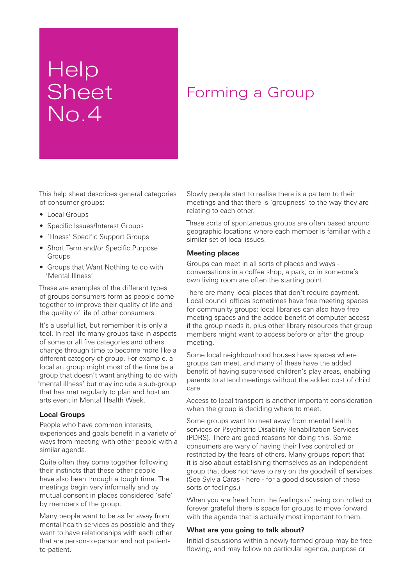## Help Sheet No.4

### Forming a Group

This help sheet describes general categories of consumer groups:

- Local Groups
- Specific Issues/Interest Groups
- 'Illness' Specific Support Groups
- Short Term and/or Specific Purpose Groups
- Groups that Want Nothing to do with 'Mental Illness'

These are examples of the different types of groups consumers form as people come together to improve their quality of life and the quality of life of other consumers.

It's a useful list, but remember it is only a tool. In real life many groups take in aspects of some or all five categories and others change through time to become more like a different category of group. For example, a local art group might most of the time be a group that doesn't want anything to do with 'mental illness' but may include a sub-group that has met regularly to plan and host an arts event in Mental Health Week.

### **Local Groups**

People who have common interests, experiences and goals benefit in a variety of ways from meeting with other people with a similar agenda.

Quite often they come together following their instincts that these other people have also been through a tough time. The meetings begin very informally and by mutual consent in places considered 'safe' by members of the group.

Many people want to be as far away from mental health services as possible and they want to have relationships with each other that are person-to-person and not patientto-patient.

Slowly people start to realise there is a pattern to their meetings and that there is 'groupness' to the way they are relating to each other.

These sorts of spontaneous groups are often based around geographic locations where each member is familiar with a similar set of local issues.

### **Meeting places**

Groups can meet in all sorts of places and ways conversations in a coffee shop, a park, or in someone's own living room are often the starting point.

There are many local places that don't require payment. Local council offices sometimes have free meeting spaces for community groups; local libraries can also have free meeting spaces and the added benefit of computer access if the group needs it, plus other library resources that group members might want to access before or after the group meeting.

Some local neighbourhood houses have spaces where groups can meet, and many of these have the added benefit of having supervised children's play areas, enabling parents to attend meetings without the added cost of child care.

Access to local transport is another important consideration when the group is deciding where to meet.

Some groups want to meet away from mental health services or Psychiatric Disability Rehabilitation Services (PDRS). There are good reasons for doing this. Some consumers are wary of having their lives controlled or restricted by the fears of others. Many groups report that it is also about establishing themselves as an independent group that does not have to rely on the goodwill of services. (See Sylvia Caras - here - for a good discussion of these sorts of feelings.)

When you are freed from the feelings of being controlled or forever grateful there is space for groups to move forward with the agenda that is actually most important to them.

### **What are you going to talk about?**

Initial discussions within a newly formed group may be free flowing, and may follow no particular agenda, purpose or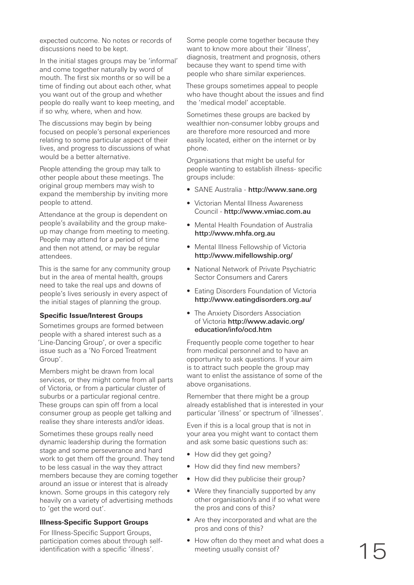expected outcome. No notes or records of discussions need to be kept.

In the initial stages groups may be 'informal' and come together naturally by word of mouth. The first six months or so will be a time of finding out about each other, what you want out of the group and whether people do really want to keep meeting, and if so why, where, when and how.

The discussions may begin by being focused on people's personal experiences relating to some particular aspect of their lives, and progress to discussions of what would be a better alternative.

People attending the group may talk to other people about these meetings. The original group members may wish to expand the membership by inviting more people to attend.

Attendance at the group is dependent on people's availability and the group makeup may change from meeting to meeting. People may attend for a period of time and then not attend, or may be regular attendees.

This is the same for any community group but in the area of mental health, groups need to take the real ups and downs of people's lives seriously in every aspect of the initial stages of planning the group.

### **Specific Issue/Interest Groups**

Sometimes groups are formed between people with a shared interest such as a 'Line-Dancing Group', or over a specific issue such as a 'No Forced Treatment Group'.

Members might be drawn from local services, or they might come from all parts of Victoria, or from a particular cluster of suburbs or a particular regional centre. These groups can spin off from a local consumer group as people get talking and realise they share interests and/or ideas.

Sometimes these groups really need dynamic leadership during the formation stage and some perseverance and hard work to get them off the ground. They tend to be less casual in the way they attract members because they are coming together around an issue or interest that is already known. Some groups in this category rely heavily on a variety of advertising methods to 'get the word out'.

### **Illness-Specific Support Groups**

For Illness-Specific Support Groups, participation comes about through selfidentification with a specific 'illness'.

Some people come together because they want to know more about their 'illness', diagnosis, treatment and prognosis, others because they want to spend time with people who share similar experiences.

These groups sometimes appeal to people who have thought about the issues and find the 'medical model' acceptable.

Sometimes these groups are backed by wealthier non-consumer lobby groups and are therefore more resourced and more easily located, either on the internet or by phone.

Organisations that might be useful for people wanting to establish illness- specific groups include:

- SANE Australia http://www.sane.org
- Victorian Mental Illness Awareness Council - http://www.vmiac.com.au
- Mental Health Foundation of Australia http://www.mhfa.org.au
- Mental Illness Fellowship of Victoria http://www.mifellowship.org/
- National Network of Private Psychiatric Sector Consumers and Carers
- Eating Disorders Foundation of Victoria http://www.eatingdisorders.org.au/
- The Anxiety Disorders Association of Victoria http://www.adavic.org/ education/info/ocd.htm

Frequently people come together to hear from medical personnel and to have an opportunity to ask questions. If your aim is to attract such people the group may want to enlist the assistance of some of the above organisations.

Remember that there might be a group already established that is interested in your particular 'illness' or spectrum of 'illnesses'.

Even if this is a local group that is not in your area you might want to contact them and ask some basic questions such as:

- How did they get going?
- How did they find new members?
- How did they publicise their group?
- Were they financially supported by any other organisation/s and if so what were the pros and cons of this?
- Are they incorporated and what are the pros and cons of this?
- How often do they meet and what does a meeting usually consist of?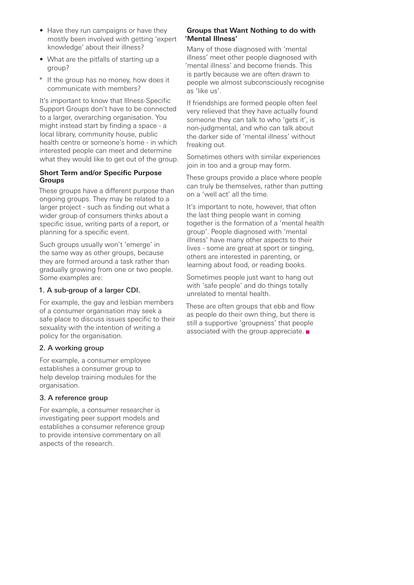- Have they run campaigns or have they mostly been involved with getting 'expert knowledge' about their illness?
- What are the pitfalls of starting up a group?
- \* If the group has no money, how does it communicate with members?

It's important to know that Illness-Specific Support Groups don't have to be connected to a larger, overarching organisation. You might instead start by finding a space - a local library, community house, public health centre or someone's home - in which interested people can meet and determine what they would like to get out of the group.

### **Short Term and/or Specific Purpose Groups**

These groups have a different purpose than ongoing groups. They may be related to a larger project - such as finding out what a wider group of consumers thinks about a specific issue, writing parts of a report, or planning for a specific event.

Such groups usually won't 'emerge' in the same way as other groups, because they are formed around a task rather than gradually growing from one or two people. Some examples are:

### 1. A sub-group of a larger CDI.

For example, the gay and lesbian members of a consumer organisation may seek a safe place to discuss issues specific to their sexuality with the intention of writing a policy for the organisation.

### 2. A working group

For example, a consumer employee establishes a consumer group to help develop training modules for the organisation.

### 3. A reference group

For example, a consumer researcher is investigating peer support models and establishes a consumer reference group to provide intensive commentary on all aspects of the research.

### **Groups that Want Nothing to do with 'Mental Illness'**

Many of those diagnosed with 'mental illness' meet other people diagnosed with 'mental illness' and become friends. This is partly because we are often drawn to people we almost subconsciously recognise as 'like us'.

If friendships are formed people often feel very relieved that they have actually found someone they can talk to who 'gets it', is non-judgmental, and who can talk about the darker side of 'mental illness' without freaking out.

Sometimes others with similar experiences join in too and a group may form.

These groups provide a place where people can truly be themselves, rather than putting on a 'well act' all the time.

It's important to note, however, that often the last thing people want in coming together is the formation of a 'mental health group'. People diagnosed with 'mental illness' have many other aspects to their lives - some are great at sport or singing, others are interested in parenting, or learning about food, or reading books.

Sometimes people just want to hang out with 'safe people' and do things totally unrelated to mental health.

These are often groups that ebb and flow as people do their own thing, but there is still a supportive 'groupness' that people associated with the group appreciate.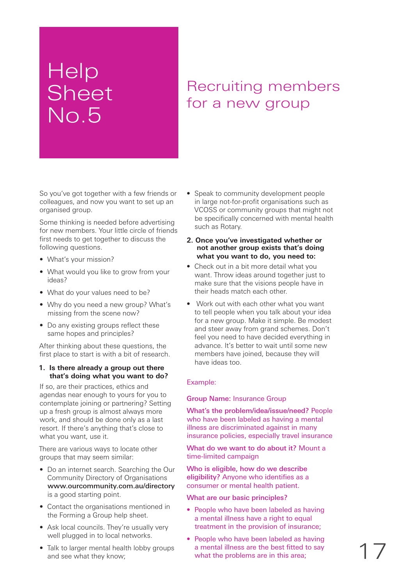## **Help Sheet** No.5

### Recruiting members for a new group

So you've got together with a few friends or colleagues, and now you want to set up an organised group.

Some thinking is needed before advertising for new members. Your little circle of friends first needs to get together to discuss the following questions.

- What's your mission?
- What would you like to grow from your ideas?
- What do your values need to be?
- Why do you need a new group? What's missing from the scene now?
- Do any existing groups reflect these same hopes and principles?

After thinking about these questions, the first place to start is with a bit of research.

### **1. Is there already a group out there that's doing what you want to do?**

If so, are their practices, ethics and agendas near enough to yours for you to contemplate joining or partnering? Setting up a fresh group is almost always more work, and should be done only as a last resort. If there's anything that's close to what you want, use it.

There are various ways to locate other groups that may seem similar:

- Do an internet search. Searching the Our Community Directory of Organisations www.ourcommunity.com.au/directory is a good starting point.
- Contact the organisations mentioned in the Forming a Group help sheet.
- Ask local councils. They're usually very well plugged in to local networks.
- Talk to larger mental health lobby groups and see what they know;
- Speak to community development people in large not-for-profit organisations such as VCOSS or community groups that might not be specifically concerned with mental health such as Rotary.
- **2. Once you've investigated whether or not another group exists that's doing what you want to do, you need to:**
- Check out in a bit more detail what you want. Throw ideas around together just to make sure that the visions people have in their heads match each other.
- Work out with each other what you want to tell people when you talk about your idea for a new group. Make it simple. Be modest and steer away from grand schemes. Don't feel you need to have decided everything in advance. It's better to wait until some new members have joined, because they will have ideas too.

### Example:

### Group Name: Insurance Group

What's the problem/idea/issue/need? People who have been labeled as having a mental illness are discriminated against in many insurance policies, especially travel insurance

What do we want to do about it? Mount a time-limited campaign

Who is eligible, how do we describe eligibility? Anyone who identifies as a consumer or mental health patient.

What are our basic principles?

- People who have been labeled as having a mental illness have a right to equal treatment in the provision of insurance;
- People who have been labeled as having a mental illness are the best fitted to say what the problems are in this area;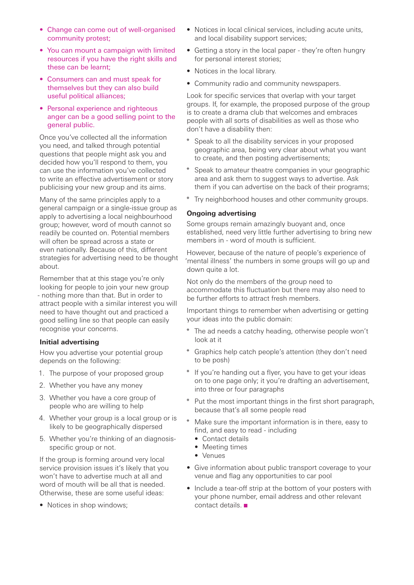- Change can come out of well-organised community protest;
- You can mount a campaign with limited resources if you have the right skills and these can be learnt;
- Consumers can and must speak for themselves but they can also build useful political alliances;
- Personal experience and righteous anger can be a good selling point to the general public.

Once you've collected all the information you need, and talked through potential questions that people might ask you and decided how you'll respond to them, you can use the information you've collected to write an effective advertisement or story publicising your new group and its aims.

Many of the same principles apply to a general campaign or a single-issue group as apply to advertising a local neighbourhood group; however, word of mouth cannot so readily be counted on. Potential members will often be spread across a state or even nationally. Because of this, different strategies for advertising need to be thought about.

Remember that at this stage you're only looking for people to join your new group - nothing more than that. But in order to attract people with a similar interest you will need to have thought out and practiced a good selling line so that people can easily recognise your concerns.

### **Initial advertising**

How you advertise your potential group depends on the following:

- 1. The purpose of your proposed group
- 2. Whether you have any money
- 3. Whether you have a core group of people who are willing to help
- 4. Whether your group is a local group or is likely to be geographically dispersed
- 5. Whether you're thinking of an diagnosisspecific group or not.

If the group is forming around very local service provision issues it's likely that you won't have to advertise much at all and word of mouth will be all that is needed. Otherwise, these are some useful ideas:

• Notices in shop windows;

- Notices in local clinical services, including acute units, and local disability support services;
- Getting a story in the local paper they're often hungry for personal interest stories;
- Notices in the local library.
- Community radio and community newspapers.

Look for specific services that overlap with your target groups. If, for example, the proposed purpose of the group is to create a drama club that welcomes and embraces people with all sorts of disabilities as well as those who don't have a disability then:

- Speak to all the disability services in your proposed geographic area, being very clear about what you want to create, and then posting advertisements;
- Speak to amateur theatre companies in your geographic area and ask them to suggest ways to advertise. Ask them if you can advertise on the back of their programs;
- \* Try neighborhood houses and other community groups.

### **Ongoing advertising**

Some groups remain amazingly buoyant and, once established, need very little further advertising to bring new members in - word of mouth is sufficient.

However, because of the nature of people's experience of 'mental illness' the numbers in some groups will go up and down quite a lot.

Not only do the members of the group need to accommodate this fluctuation but there may also need to be further efforts to attract fresh members.

Important things to remember when advertising or getting your ideas into the public domain:

- \* The ad needs a catchy heading, otherwise people won't look at it
- Graphics help catch people's attention (they don't need to be posh)
- If you're handing out a flyer, you have to get your ideas on to one page only; it you're drafting an advertisement, into three or four paragraphs
- \* Put the most important things in the first short paragraph, because that's all some people read
- Make sure the important information is in there, easy to find, and easy to read - including
	- Contact details
	- Meeting times
	- Venues
- Give information about public transport coverage to your venue and flag any opportunities to car pool
- Include a tear-off strip at the bottom of your posters with your phone number, email address and other relevant contact details.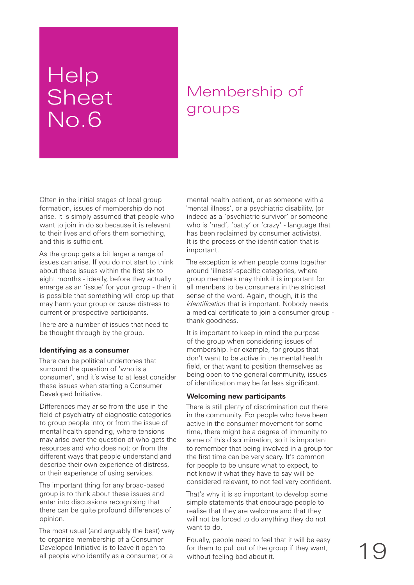## Help Sheet No.6

### Membership of groups

Often in the initial stages of local group formation, issues of membership do not arise. It is simply assumed that people who want to join in do so because it is relevant to their lives and offers them something, and this is sufficient.

As the group gets a bit larger a range of issues can arise. If you do not start to think about these issues within the first six to eight months - ideally, before they actually emerge as an 'issue' for your group - then it is possible that something will crop up that may harm your group or cause distress to current or prospective participants.

There are a number of issues that need to be thought through by the group.

### **Identifying as a consumer**

There can be political undertones that surround the question of 'who is a consumer', and it's wise to at least consider these issues when starting a Consumer Developed Initiative.

Differences may arise from the use in the field of psychiatry of diagnostic categories to group people into; or from the issue of mental health spending, where tensions may arise over the question of who gets the resources and who does not; or from the different ways that people understand and describe their own experience of distress, or their experience of using services.

The important thing for any broad-based group is to think about these issues and enter into discussions recognising that there can be quite profound differences of opinion.

The most usual (and arguably the best) way to organise membership of a Consumer Developed Initiative is to leave it open to all people who identify as a consumer, or a

mental health patient, or as someone with a 'mental illness', or a psychiatric disability, (or indeed as a 'psychiatric survivor' or someone who is 'mad', 'batty' or 'crazy' - language that has been reclaimed by consumer activists). It is the process of the identification that is important.

The exception is when people come together around 'illness'-specific categories, where group members may think it is important for all members to be consumers in the strictest sense of the word. Again, though, it is the *identification* that is important. Nobody needs a medical certificate to join a consumer group thank goodness.

It is important to keep in mind the purpose of the group when considering issues of membership. For example, for groups that don't want to be active in the mental health field, or that want to position themselves as being open to the general community, issues of identification may be far less significant.

### **Welcoming new participants**

There is still plenty of discrimination out there in the community. For people who have been active in the consumer movement for some time, there might be a degree of immunity to some of this discrimination, so it is important to remember that being involved in a group for the first time can be very scary. It's common for people to be unsure what to expect, to not know if what they have to say will be considered relevant, to not feel very confident.

That's why it is so important to develop some simple statements that encourage people to realise that they are welcome and that they will not be forced to do anything they do not want to do.

Equally, people need to feel that it will be easy for them to pull out of the group if they want, without feeling bad about it.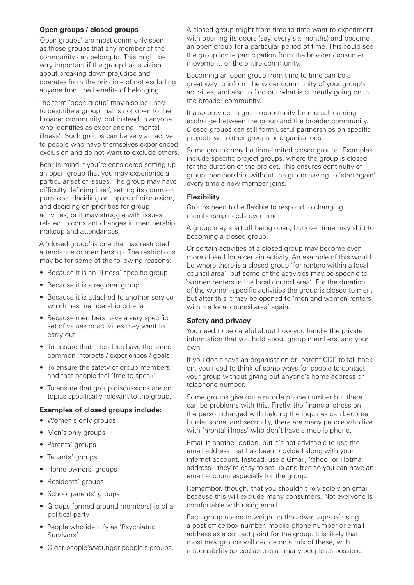### **Open groups / closed groups**

'Open groups' are most commonly seen as those groups that any member of the community can belong to. This might be very important if the group has a vision about breaking down prejudice and operates from the principle of not excluding anyone from the benefits of belonging.

The term 'open group' may also be used to describe a group that is not open to the broader community, but instead to anyone who identifies as experiencing 'mental illness'. Such groups can be very attractive to people who have themselves experienced exclusion and do not want to exclude others.

Bear in mind if you're considered setting up an open group that you may experience a particular set of issues. The group may have difficulty defining itself, setting its common purposes, deciding on topics of discussion, and deciding on priorities for group activities, or it may struggle with issues related to constant changes in membership makeup and attendances.

A 'closed group' is one that has restricted attendance or membership. The restrictions may be for some of the following reasons:

- Because it is an 'illness'-specific group
- Because it is a regional group
- Because it is attached to another service which has membership criteria
- Because members have a very specific set of values or activities they want to carry out
- To ensure that attendees have the same common interests / experiences / goals
- To ensure the safety of group members and that people feel 'free to speak'
- To ensure that group discussions are on topics specifically relevant to the group.

#### **Examples of closed groups include:**

- Women's only groups
- Men's only groups
- Parents' groups
- Tenants' groups
- Home owners' groups
- Residents' groups
- School parents' groups
- Groups formed around membership of a political party
- People who identify as 'Psychiatric Survivors'
- Older people's/younger people's groups.

A closed group might from time to time want to experiment with opening its doors (say, every six months) and become an open group for a particular period of time. This could see the group invite participation from the broader consumer movement, or the entire community.

Becoming an open group from time to time can be a great way to inform the wider community of your group's activities, and also to find out what is currently going on in the broader community.

It also provides a great opportunity for mutual learning exchange between the group and the broader community. Closed groups can still form useful partnerships on specific projects with other groups or organisations.

Some groups may be time-limited closed groups. Examples include specific project groups, where the group is closed for the duration of the project. This ensures continuity of group membership, without the group having to 'start again' every time a new member joins.

### **Flexibility**

Groups need to be flexible to respond to changing membership needs over time.

A group may start off being open, but over time may shift to becoming a closed group.

Or certain activities of a closed group may become even more closed for a certain activity. An example of this would be where there is a closed group 'for renters within a local council area', but some of the activities may be specific to 'women renters in the local council area'. For the duration of the women-specific activities the group is closed to men, but after this it may be opened to 'men and women renters within a local council area' again.

#### **Safety and privacy**

You need to be careful about how you handle the private information that you hold about group members, and your own.

If you don't have an organisation or 'parent CDI' to fall back on, you need to think of some ways for people to contact your group without giving out anyone's home address or telephone number.

Some groups give out a mobile phone number but there can be problems with this. Firstly, the financial stress on the person charged with fielding the inquiries can become burdensome, and secondly, there are many people who live with 'mental illness' who don't have a mobile phone.

Email is another option, but it's not advisable to use the email address that has been provided along with your internet account. Instead, use a Gmail, Yahoo! or Hotmail address - they're easy to set up and free so you can have an email account especially for the group.

Remember, though, that you shouldn't rely solely on email because this will exclude many consumers. Not everyone is comfortable with using email.

Each group needs to weigh up the advantages of using a post office box number, mobile phone number or email address as a contact point for the group. It is likely that most new groups will decide on a mix of these, with responsibility spread across as many people as possible.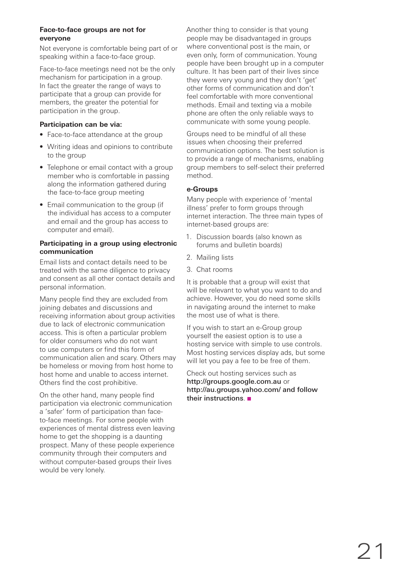### **Face-to-face groups are not for everyone**

Not everyone is comfortable being part of or speaking within a face-to-face group.

Face-to-face meetings need not be the only mechanism for participation in a group. In fact the greater the range of ways to participate that a group can provide for members, the greater the potential for participation in the group.

### **Participation can be via:**

- Face-to-face attendance at the group
- Writing ideas and opinions to contribute to the group
- Telephone or email contact with a group member who is comfortable in passing along the information gathered during the face-to-face group meeting
- Email communication to the group (if the individual has access to a computer and email and the group has access to computer and email).

### **Participating in a group using electronic communication**

Email lists and contact details need to be treated with the same diligence to privacy and consent as all other contact details and personal information.

Many people find they are excluded from joining debates and discussions and receiving information about group activities due to lack of electronic communication access. This is often a particular problem for older consumers who do not want to use computers or find this form of communication alien and scary. Others may be homeless or moving from host home to host home and unable to access internet. Others find the cost prohibitive.

On the other hand, many people find participation via electronic communication a 'safer' form of participation than faceto-face meetings. For some people with experiences of mental distress even leaving home to get the shopping is a daunting prospect. Many of these people experience community through their computers and without computer-based groups their lives would be very lonely.

Another thing to consider is that young people may be disadvantaged in groups where conventional post is the main, or even only, form of communication. Young people have been brought up in a computer culture. It has been part of their lives since they were very young and they don't 'get' other forms of communication and don't feel comfortable with more conventional methods. Email and texting via a mobile phone are often the only reliable ways to communicate with some young people.

Groups need to be mindful of all these issues when choosing their preferred communication options. The best solution is to provide a range of mechanisms, enabling group members to self-select their preferred method.

### **e-Groups**

Many people with experience of 'mental illness' prefer to form groups through internet interaction. The three main types of internet-based groups are:

- 1. Discussion boards (also known as forums and bulletin boards)
- 2. Mailing lists
- 3. Chat rooms

It is probable that a group will exist that will be relevant to what you want to do and achieve. However, you do need some skills in navigating around the internet to make the most use of what is there.

If you wish to start an e-Group group yourself the easiest option is to use a hosting service with simple to use controls. Most hosting services display ads, but some will let you pay a fee to be free of them.

Check out hosting services such as http://groups.google.com.au or http://au.groups.yahoo.com/ and follow their instructions.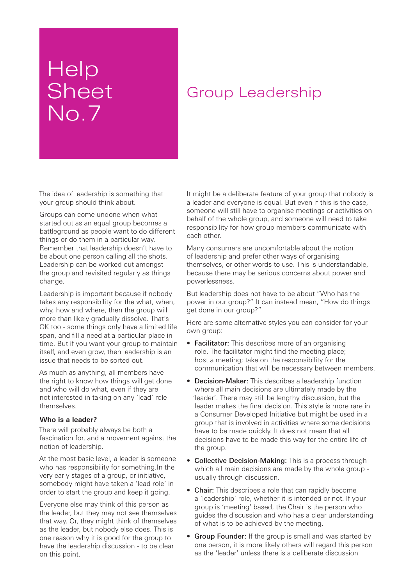## Help **Sheet** No.7

### Group Leadership

The idea of leadership is something that your group should think about.

Groups can come undone when what started out as an equal group becomes a battleground as people want to do different things or do them in a particular way. Remember that leadership doesn't have to be about one person calling all the shots. Leadership can be worked out amongst the group and revisited regularly as things change.

Leadership is important because if nobody takes any responsibility for the what, when, why, how and where, then the group will more than likely gradually dissolve. That's OK too - some things only have a limited life span, and fill a need at a particular place in time. But if you want your group to maintain itself, and even grow, then leadership is an issue that needs to be sorted out.

As much as anything, all members have the right to know how things will get done and who will do what, even if they are not interested in taking on any 'lead' role themselves.

### **Who is a leader?**

There will probably always be both a fascination for, and a movement against the notion of leadership.

At the most basic level, a leader is someone who has responsibility for something.In the very early stages of a group, or initiative, somebody might have taken a 'lead role' in order to start the group and keep it going.

Everyone else may think of this person as the leader, but they may not see themselves that way. Or, they might think of themselves as the leader, but nobody else does. This is one reason why it is good for the group to have the leadership discussion - to be clear on this point.

It might be a deliberate feature of your group that nobody is a leader and everyone is equal. But even if this is the case, someone will still have to organise meetings or activities on behalf of the whole group, and someone will need to take responsibility for how group members communicate with each other.

Many consumers are uncomfortable about the notion of leadership and prefer other ways of organising themselves, or other words to use. This is understandable, because there may be serious concerns about power and powerlessness.

But leadership does not have to be about "Who has the power in our group?" It can instead mean, "How do things get done in our group?"

Here are some alternative styles you can consider for your own group:

- Facilitator: This describes more of an organising role. The facilitator might find the meeting place; host a meeting; take on the responsibility for the communication that will be necessary between members.
- Decision-Maker: This describes a leadership function where all main decisions are ultimately made by the 'leader'. There may still be lengthy discussion, but the leader makes the final decision. This style is more rare in a Consumer Developed Initiative but might be used in a group that is involved in activities where some decisions have to be made quickly. It does not mean that all decisions have to be made this way for the entire life of the group.
- Collective Decision-Making: This is a process through which all main decisions are made by the whole group usually through discussion.
- Chair: This describes a role that can rapidly become a 'leadership' role, whether it is intended or not. If your group is 'meeting' based, the Chair is the person who guides the discussion and who has a clear understanding of what is to be achieved by the meeting.
- Group Founder: If the group is small and was started by one person, it is more likely others will regard this person as the 'leader' unless there is a deliberate discussion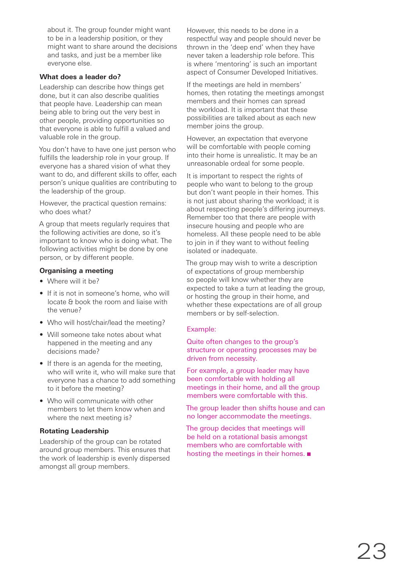about it. The group founder might want to be in a leadership position, or they might want to share around the decisions and tasks, and just be a member like everyone else.

### **What does a leader do?**

Leadership can describe how things get done, but it can also describe qualities that people have. Leadership can mean being able to bring out the very best in other people, providing opportunities so that everyone is able to fulfill a valued and valuable role in the group.

You don't have to have one just person who fulfills the leadership role in your group. If everyone has a shared vision of what they want to do, and different skills to offer, each person's unique qualities are contributing to the leadership of the group.

However, the practical question remains: who does what?

A group that meets regularly requires that the following activities are done, so it's important to know who is doing what. The following activities might be done by one person, or by different people.

### **Organising a meeting**

- Where will it be?
- If it is not in someone's home, who will locate & book the room and liaise with the venue?
- Who will host/chair/lead the meeting?
- Will someone take notes about what happened in the meeting and any decisions made?
- If there is an agenda for the meeting, who will write it, who will make sure that everyone has a chance to add something to it before the meeting?
- Who will communicate with other members to let them know when and where the next meeting is?

### **Rotating Leadership**

Leadership of the group can be rotated around group members. This ensures that the work of leadership is evenly dispersed amongst all group members.

However, this needs to be done in a respectful way and people should never be thrown in the 'deep end' when they have never taken a leadership role before. This is where 'mentoring' is such an important aspect of Consumer Developed Initiatives.

If the meetings are held in members' homes, then rotating the meetings amongst members and their homes can spread the workload. It is important that these possibilities are talked about as each new member joins the group.

However, an expectation that everyone will be comfortable with people coming into their home is unrealistic. It may be an unreasonable ordeal for some people.

It is important to respect the rights of people who want to belong to the group but don't want people in their homes. This is not just about sharing the workload; it is about respecting people's differing journeys. Remember too that there are people with insecure housing and people who are homeless. All these people need to be able to join in if they want to without feeling isolated or inadequate.

The group may wish to write a description of expectations of group membership so people will know whether they are expected to take a turn at leading the group, or hosting the group in their home, and whether these expectations are of all group members or by self-selection.

### Example:

Quite often changes to the group's structure or operating processes may be driven from necessity.

For example, a group leader may have been comfortable with holding all meetings in their home, and all the group members were comfortable with this.

The group leader then shifts house and can no longer accommodate the meetings.

The group decides that meetings will be held on a rotational basis amongst members who are comfortable with hosting the meetings in their homes.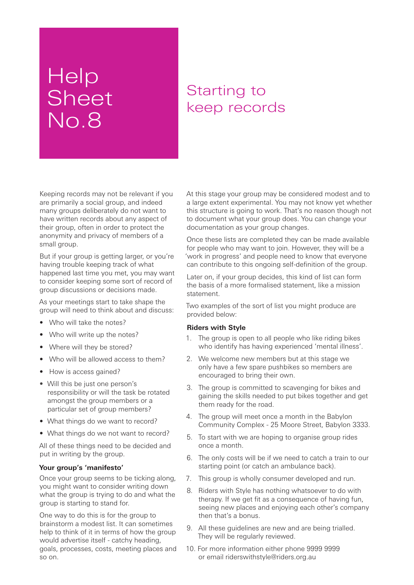## Help Sheet No.8

### Starting to keep records

Keeping records may not be relevant if you are primarily a social group, and indeed many groups deliberately do not want to have written records about any aspect of their group, often in order to protect the anonymity and privacy of members of a small group.

But if your group is getting larger, or you're having trouble keeping track of what happened last time you met, you may want to consider keeping some sort of record of group discussions or decisions made.

As your meetings start to take shape the group will need to think about and discuss:

- Who will take the notes?
- Who will write up the notes?
- Where will they be stored?
- Who will be allowed access to them?
- How is access gained?
- Will this be just one person's responsibility or will the task be rotated amongst the group members or a particular set of group members?
- What things do we want to record?
- What things do we not want to record?

All of these things need to be decided and put in writing by the group.

### **Your group's 'manifesto'**

Once your group seems to be ticking along. you might want to consider writing down what the group is trying to do and what the group is starting to stand for.

One way to do this is for the group to brainstorm a modest list. It can sometimes help to think of it in terms of how the group would advertise itself - catchy heading, goals, processes, costs, meeting places and so on.

At this stage your group may be considered modest and to a large extent experimental. You may not know yet whether this structure is going to work. That's no reason though not to document what your group does. You can change your documentation as your group changes.

Once these lists are completed they can be made available for people who may want to join. However, they will be a 'work in progress' and people need to know that everyone can contribute to this ongoing self-definition of the group.

Later on, if your group decides, this kind of list can form the basis of a more formalised statement, like a mission statement.

Two examples of the sort of list you might produce are provided below:

### **Riders with Style**

- 1. The group is open to all people who like riding bikes who identify has having experienced 'mental illness'.
- 2. We welcome new members but at this stage we only have a few spare pushbikes so members are encouraged to bring their own.
- 3. The group is committed to scavenging for bikes and gaining the skills needed to put bikes together and get them ready for the road.
- 4. The group will meet once a month in the Babylon Community Complex - 25 Moore Street, Babylon 3333.
- 5. To start with we are hoping to organise group rides once a month.
- 6. The only costs will be if we need to catch a train to our starting point (or catch an ambulance back).
- 7. This group is wholly consumer developed and run.
- 8. Riders with Style has nothing whatsoever to do with therapy. If we get fit as a consequence of having fun, seeing new places and enjoying each other's company then that's a bonus.
- 9. All these guidelines are new and are being trialled. They will be regularly reviewed.
- 10. For more information either phone 9999 9999 or email riderswithstyle@riders.org.au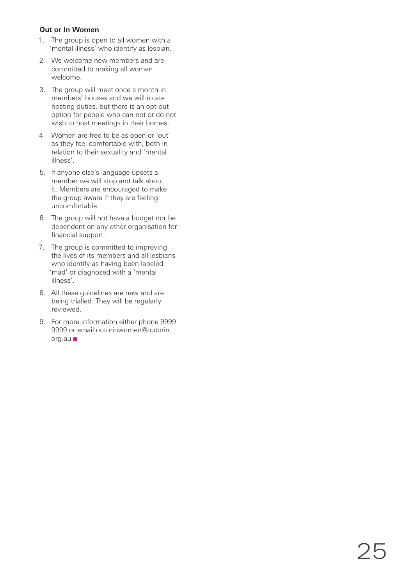### **Out or In Women**

- 1. The group is open to all women with a 'mental illness' who identify as lesbian.
- 2. We welcome new members and are committed to making all women welcome.
- 3. The group will meet once a month in members' houses and we will rotate hosting duties, but there is an opt-out option for people who can not or do not wish to host meetings in their homes.
- 4. Women are free to be as open or 'out' as they feel comfortable with, both in relation to their sexuality and 'mental illness'.
- 5. If anyone else's language upsets a member we will stop and talk about it. Members are encouraged to make the group aware if they are feeling uncomfortable.
- 6. The group will not have a budget nor be dependent on any other organisation for financial support.
- 7. The group is committed to improving the lives of its members and all lesbians who identify as having been labeled 'mad' or diagnosed with a 'mental illness'.
- 8. All these guidelines are new and are being trialled. They will be regularly reviewed.
- 9. For more information either phone 9999 9999 or email outorinwomen@outorin. org.au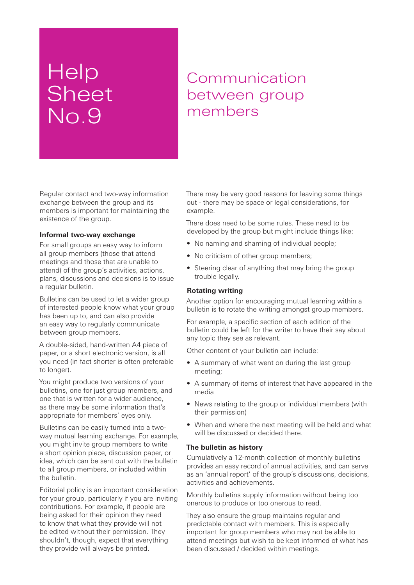## **Help Sheet** No.9

### Communication between group members

Regular contact and two-way information exchange between the group and its members is important for maintaining the existence of the group.

### **Informal two-way exchange**

For small groups an easy way to inform all group members (those that attend meetings and those that are unable to attend) of the group's activities, actions, plans, discussions and decisions is to issue a regular bulletin.

Bulletins can be used to let a wider group of interested people know what your group has been up to, and can also provide an easy way to regularly communicate between group members.

A double-sided, hand-written A4 piece of paper, or a short electronic version, is all you need (in fact shorter is often preferable to longer).

You might produce two versions of your bulletins, one for just group members, and one that is written for a wider audience, as there may be some information that's appropriate for members' eyes only.

Bulletins can be easily turned into a twoway mutual learning exchange. For example, you might invite group members to write a short opinion piece, discussion paper, or idea, which can be sent out with the bulletin to all group members, or included within the bulletin.

Editorial policy is an important consideration for your group, particularly if you are inviting contributions. For example, if people are being asked for their opinion they need to know that what they provide will not be edited without their permission. They shouldn't, though, expect that everything they provide will always be printed.

There may be very good reasons for leaving some things out - there may be space or legal considerations, for example.

There does need to be some rules. These need to be developed by the group but might include things like:

- No naming and shaming of individual people:
- No criticism of other group members:
- Steering clear of anything that may bring the group trouble legally.

### **Rotating writing**

Another option for encouraging mutual learning within a bulletin is to rotate the writing amongst group members.

For example, a specific section of each edition of the bulletin could be left for the writer to have their say about any topic they see as relevant.

Other content of your bulletin can include:

- A summary of what went on during the last group meeting;
- A summary of items of interest that have appeared in the media
- News relating to the group or individual members (with their permission)
- When and where the next meeting will be held and what will be discussed or decided there.

### **The bulletin as history**

Cumulatively a 12-month collection of monthly bulletins provides an easy record of annual activities, and can serve as an 'annual report' of the group's discussions, decisions, activities and achievements.

Monthly bulletins supply information without being too onerous to produce or too onerous to read.

They also ensure the group maintains regular and predictable contact with members. This is especially important for group members who may not be able to attend meetings but wish to be kept informed of what has been discussed / decided within meetings.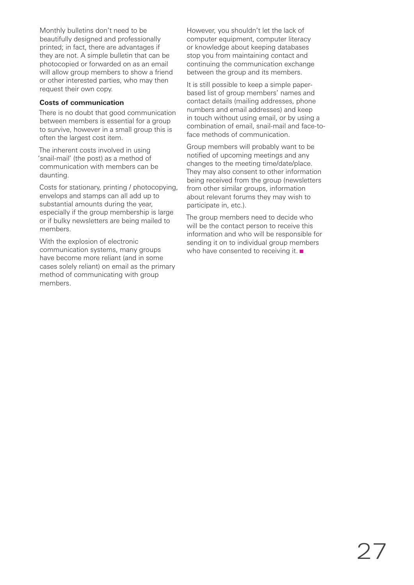Monthly bulletins don't need to be beautifully designed and professionally printed; in fact, there are advantages if they are not. A simple bulletin that can be photocopied or forwarded on as an email will allow group members to show a friend or other interested parties, who may then request their own copy.

### **Costs of communication**

There is no doubt that good communication between members is essential for a group to survive, however in a small group this is often the largest cost item.

The inherent costs involved in using 'snail-mail' (the post) as a method of communication with members can be daunting.

Costs for stationary, printing / photocopying, envelops and stamps can all add up to substantial amounts during the year, especially if the group membership is large or if bulky newsletters are being mailed to members.

With the explosion of electronic communication systems, many groups have become more reliant (and in some cases solely reliant) on email as the primary method of communicating with group members.

However, you shouldn't let the lack of computer equipment, computer literacy or knowledge about keeping databases stop you from maintaining contact and continuing the communication exchange between the group and its members.

It is still possible to keep a simple paperbased list of group members' names and contact details (mailing addresses, phone numbers and email addresses) and keep in touch without using email, or by using a combination of email, snail-mail and face-toface methods of communication.

Group members will probably want to be notified of upcoming meetings and any changes to the meeting time/date/place. They may also consent to other information being received from the group (newsletters from other similar groups, information about relevant forums they may wish to participate in, etc.).

The group members need to decide who will be the contact person to receive this information and who will be responsible for sending it on to individual group members who have consented to receiving it.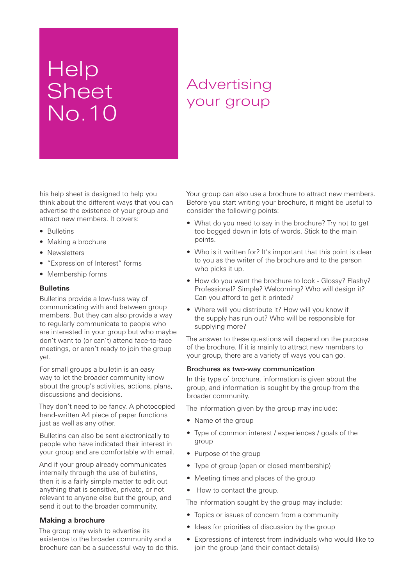## Help Sheet No.10

### Advertising your group

his help sheet is designed to help you think about the different ways that you can advertise the existence of your group and attract new members. It covers:

- Bulletins
- Making a brochure
- Newsletters
- "Expression of Interest" forms
- Membership forms

### **Bulletins**

Bulletins provide a low-fuss way of communicating with and between group members. But they can also provide a way to regularly communicate to people who are interested in your group but who maybe don't want to (or can't) attend face-to-face meetings, or aren't ready to join the group yet.

For small groups a bulletin is an easy way to let the broader community know about the group's activities, actions, plans, discussions and decisions.

They don't need to be fancy. A photocopied hand-written A4 piece of paper functions just as well as any other.

Bulletins can also be sent electronically to people who have indicated their interest in your group and are comfortable with email.

And if your group already communicates internally through the use of bulletins, then it is a fairly simple matter to edit out anything that is sensitive, private, or not relevant to anyone else but the group, and send it out to the broader community.

### **Making a brochure**

The group may wish to advertise its existence to the broader community and a brochure can be a successful way to do this. Your group can also use a brochure to attract new members. Before you start writing your brochure, it might be useful to consider the following points:

- What do you need to say in the brochure? Try not to get too bogged down in lots of words. Stick to the main points.
- Who is it written for? It's important that this point is clear to you as the writer of the brochure and to the person who picks it up.
- How do you want the brochure to look Glossy? Flashy? Professional? Simple? Welcoming? Who will design it? Can you afford to get it printed?
- Where will you distribute it? How will you know if the supply has run out? Who will be responsible for supplying more?

The answer to these questions will depend on the purpose of the brochure. If it is mainly to attract new members to your group, there are a variety of ways you can go.

#### Brochures as two-way communication

In this type of brochure, information is given about the group, and information is sought by the group from the broader community.

The information given by the group may include:

- Name of the group
- Type of common interest / experiences / goals of the group
- Purpose of the group
- Type of group (open or closed membership)
- Meeting times and places of the group
- How to contact the group.

The information sought by the group may include:

- Topics or issues of concern from a community
- Ideas for priorities of discussion by the group
- Expressions of interest from individuals who would like to join the group (and their contact details)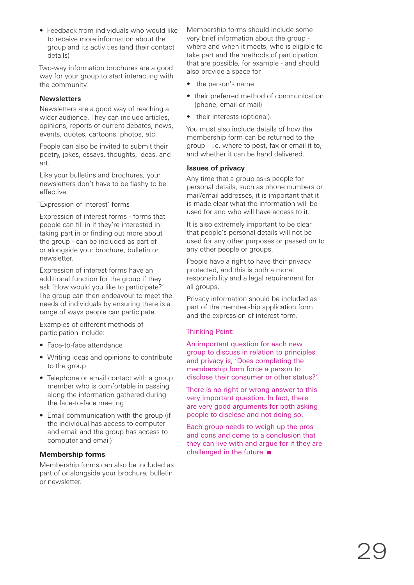• Feedback from individuals who would like to receive more information about the group and its activities (and their contact details)

Two-way information brochures are a good way for your group to start interacting with the community.

### **Newsletters**

Newsletters are a good way of reaching a wider audience. They can include articles, opinions, reports of current debates, news, events, quotes, cartoons, photos, etc.

People can also be invited to submit their poetry, jokes, essays, thoughts, ideas, and art.

Like your bulletins and brochures, your newsletters don't have to be flashy to be effective.

'Expression of Interest' forms

Expression of interest forms - forms that people can fill in if they're interested in taking part in or finding out more about the group - can be included as part of or alongside your brochure, bulletin or newsletter.

Expression of interest forms have an additional function for the group if they ask 'How would you like to participate?' The group can then endeavour to meet the needs of individuals by ensuring there is a range of ways people can participate.

Examples of different methods of participation include:

- Face-to-face attendance
- Writing ideas and opinions to contribute to the group
- Telephone or email contact with a group member who is comfortable in passing along the information gathered during the face-to-face meeting
- Email communication with the group (if the individual has access to computer and email and the group has access to computer and email)

### **Membership forms**

Membership forms can also be included as part of or alongside your brochure, bulletin or newsletter.

Membership forms should include some very brief information about the group where and when it meets, who is eligible to take part and the methods of participation that are possible, for example - and should also provide a space for

- the person's name
- their preferred method of communication (phone, email or mail)
- their interests (optional).

You must also include details of how the membership form can be returned to the group - i.e. where to post, fax or email it to, and whether it can be hand delivered.

### **Issues of privacy**

Any time that a group asks people for personal details, such as phone numbers or mail/email addresses, it is important that it is made clear what the information will be used for and who will have access to it.

It is also extremely important to be clear that people's personal details will not be used for any other purposes or passed on to any other people or groups.

People have a right to have their privacy protected, and this is both a moral responsibility and a legal requirement for all groups.

Privacy information should be included as part of the membership application form and the expression of interest form.

### Thinking Point:

An important question for each new group to discuss in relation to principles and privacy is; 'Does completing the membership form force a person to disclose their consumer or other status?'

There is no right or wrong answer to this very important question. In fact, there are very good arguments for both asking people to disclose and not doing so.

Each group needs to weigh up the pros and cons and come to a conclusion that they can live with and argue for if they are challenged in the future.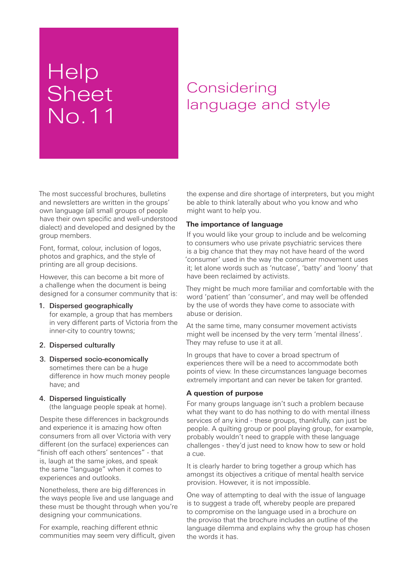## **Help** Sheet No.11

### **Considering** language and style

The most successful brochures, bulletins and newsletters are written in the groups' own language (all small groups of people have their own specific and well-understood dialect) and developed and designed by the group members.

Font, format, colour, inclusion of logos, photos and graphics, and the style of printing are all group decisions.

However, this can become a bit more of a challenge when the document is being designed for a consumer community that is:

- 1. Dispersed geographically for example, a group that has members in very different parts of Victoria from the inner-city to country towns;
- 2. Dispersed culturally
- 3. Dispersed socio-economically sometimes there can be a huge difference in how much money people have; and

### 4. Dispersed linguistically

(the language people speak at home).

Despite these differences in backgrounds and experience it is amazing how often consumers from all over Victoria with very different (on the surface) experiences can "finish off each others' sentences" - that is, laugh at the same jokes, and speak the same "language" when it comes to experiences and outlooks.

Nonetheless, there are big differences in the ways people live and use language and these must be thought through when you're designing your communications.

For example, reaching different ethnic communities may seem very difficult, given the expense and dire shortage of interpreters, but you might be able to think laterally about who you know and who might want to help you.

### **The importance of language**

If you would like your group to include and be welcoming to consumers who use private psychiatric services there is a big chance that they may not have heard of the word 'consumer' used in the way the consumer movement uses it; let alone words such as 'nutcase', 'batty' and 'loony' that have been reclaimed by activists.

They might be much more familiar and comfortable with the word 'patient' than 'consumer', and may well be offended by the use of words they have come to associate with abuse or derision.

At the same time, many consumer movement activists might well be incensed by the very term 'mental illness'. They may refuse to use it at all.

In groups that have to cover a broad spectrum of experiences there will be a need to accommodate both points of view. In these circumstances language becomes extremely important and can never be taken for granted.

### **A question of purpose**

For many groups language isn't such a problem because what they want to do has nothing to do with mental illness services of any kind - these groups, thankfully, can just be people. A quilting group or pool playing group, for example, probably wouldn't need to grapple with these language challenges - they'd just need to know how to sew or hold a cue.

It is clearly harder to bring together a group which has amongst its objectives a critique of mental health service provision. However, it is not impossible.

One way of attempting to deal with the issue of language is to suggest a trade off, whereby people are prepared to compromise on the language used in a brochure on the proviso that the brochure includes an outline of the language dilemma and explains why the group has chosen the words it has.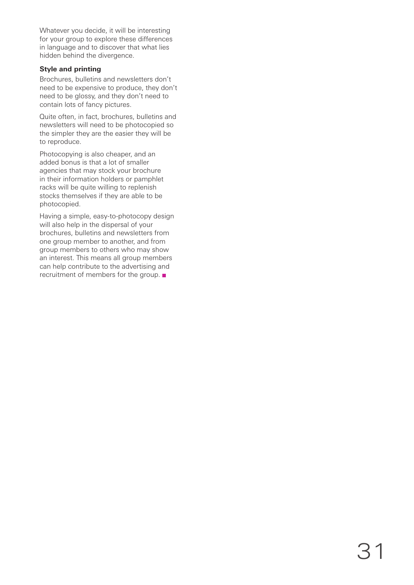Whatever you decide, it will be interesting for your group to explore these differences in language and to discover that what lies hidden behind the divergence.

### **Style and printing**

Brochures, bulletins and newsletters don't need to be expensive to produce, they don't need to be glossy, and they don't need to contain lots of fancy pictures.

Quite often, in fact, brochures, bulletins and newsletters will need to be photocopied so the simpler they are the easier they will be to reproduce.

Photocopying is also cheaper, and an added bonus is that a lot of smaller agencies that may stock your brochure in their information holders or pamphlet racks will be quite willing to replenish stocks themselves if they are able to be photocopied.

Having a simple, easy-to-photocopy design will also help in the dispersal of your brochures, bulletins and newsletters from one group member to another, and from group members to others who may show an interest. This means all group members can help contribute to the advertising and recruitment of members for the group.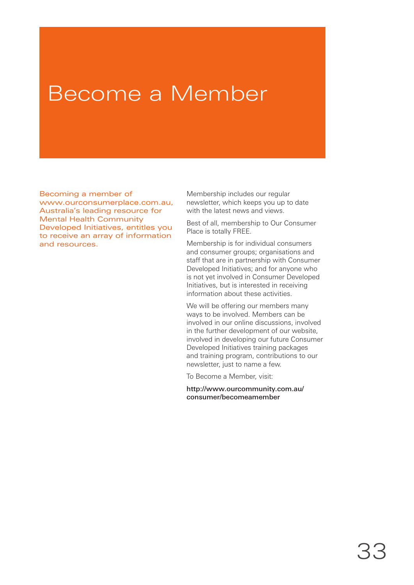## Become a Member

Becoming a member of www.ourconsumerplace.com.au, Australia's leading resource for Mental Health Community Developed Initiatives, entitles you to receive an array of information and resources.

Membership includes our regular newsletter, which keeps you up to date with the latest news and views.

Best of all, membership to Our Consumer Place is totally FREE.

Membership is for individual consumers and consumer groups; organisations and staff that are in partnership with Consumer Developed Initiatives; and for anyone who is not yet involved in Consumer Developed Initiatives, but is interested in receiving information about these activities.

We will be offering our members many ways to be involved. Members can be involved in our online discussions, involved in the further development of our website, involved in developing our future Consumer Developed Initiatives training packages and training program, contributions to our newsletter, just to name a few.

To Become a Member, visit:

http://www.ourcommunity.com.au/ consumer/becomeamember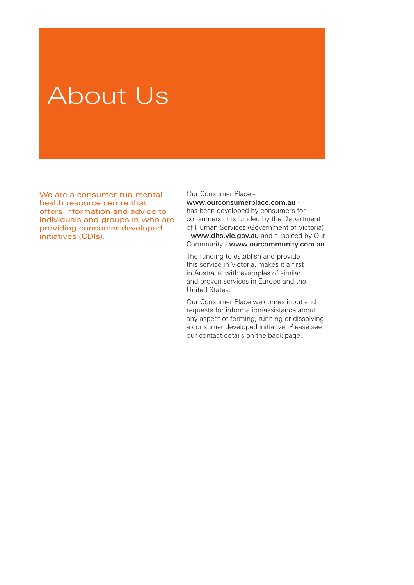# About Us

We are a consumer-run mental health resource centre that offers information and advice to individuals and groups in who are providing consumer developed initiatives (CDIs).

Our Consumer Place -

www.ourconsumerplace.com.au has been developed by consumers for consumers. It is funded by the Department of Human Services (Government of Victoria) - www.dhs.vic.gov.au and auspiced by Our Community - www.ourcommunity.com.au.

The funding to establish and provide this service in Victoria, makes it a first in Australia, with examples of similar and proven services in Europe and the United States.

Our Consumer Place welcomes input and requests for information/assistance about any aspect of forming, running or dissolving a consumer developed initiative. Please see our contact details on the back page.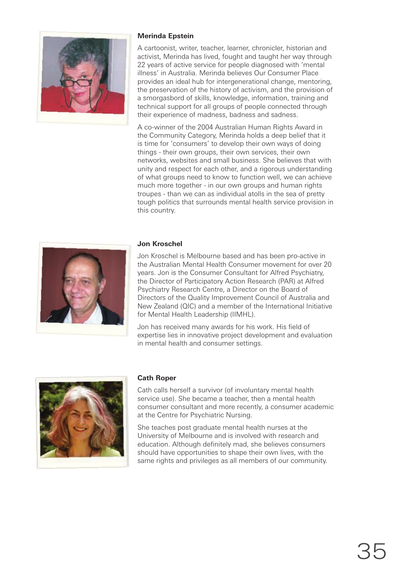

### **Merinda Epstein**

A cartoonist, writer, teacher, learner, chronicler, historian and activist, Merinda has lived, fought and taught her way through 22 years of active service for people diagnosed with 'mental illness' in Australia. Merinda believes Our Consumer Place provides an ideal hub for intergenerational change, mentoring, the preservation of the history of activism, and the provision of a smorgasbord of skills, knowledge, information, training and technical support for all groups of people connected through their experience of madness, badness and sadness.

A co-winner of the 2004 Australian Human Rights Award in the Community Category, Merinda holds a deep belief that it is time for 'consumers' to develop their own ways of doing things - their own groups, their own services, their own networks, websites and small business. She believes that with unity and respect for each other, and a rigorous understanding of what groups need to know to function well, we can achieve much more together - in our own groups and human rights troupes - than we can as individual atolls in the sea of pretty tough politics that surrounds mental health service provision in this country.



Jon Kroschel is Melbourne based and has been pro-active in the Australian Mental Health Consumer movement for over 20 years. Jon is the Consumer Consultant for Alfred Psychiatry, the Director of Participatory Action Research (PAR) at Alfred Psychiatry Research Centre, a Director on the Board of Directors of the Quality Improvement Council of Australia and New Zealand (QIC) and a member of the International Initiative for Mental Health Leadership (IIMHL).

Jon has received many awards for his work. His field of expertise lies in innovative project development and evaluation in mental health and consumer settings.



### **Cath Roper**

Cath calls herself a survivor (of involuntary mental health service use). She became a teacher, then a mental health consumer consultant and more recently, a consumer academic at the Centre for Psychiatric Nursing.

She teaches post graduate mental health nurses at the University of Melbourne and is involved with research and education. Although definitely mad, she believes consumers should have opportunities to shape their own lives, with the same rights and privileges as all members of our community.